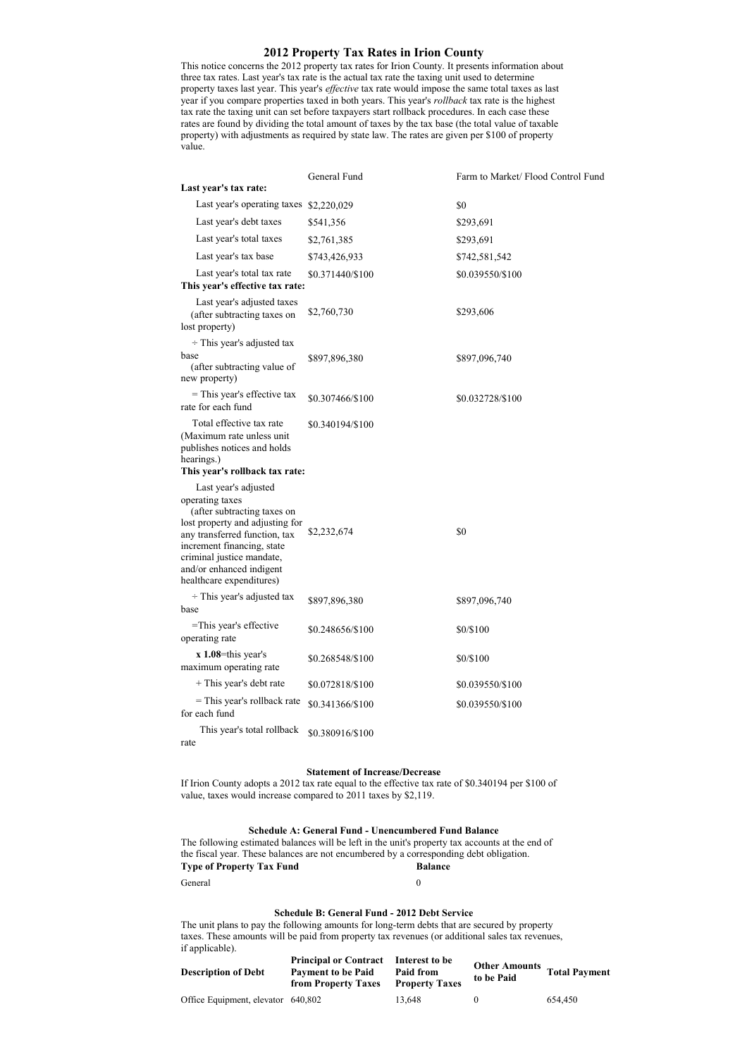# **2012 Property Tax Rates in Irion County**

This notice concerns the 2012 property tax rates for Irion County. It presents information about three tax rates. Last year's tax rate is the actual tax rate the taxing unit used to determine property taxes last year. This year's *effective* tax rate would impose the same total taxes as last year if you compare properties taxed in both years. This year's *rollback* tax rate is the highest tax rate the taxing unit can set before taxpayers start rollback procedures. In each case these rates are found by dividing the total amount of taxes by the tax base (the total value of taxable property) with adjustments as required by state law. The rates are given per \$100 of property value.

|                                                                                                                                                                                                                                                               | General Fund     | Farm to Market/ Flood Control Fund |
|---------------------------------------------------------------------------------------------------------------------------------------------------------------------------------------------------------------------------------------------------------------|------------------|------------------------------------|
| Last year's tax rate:                                                                                                                                                                                                                                         |                  |                                    |
| Last year's operating taxes \$2,220,029                                                                                                                                                                                                                       |                  | \$0                                |
| Last year's debt taxes                                                                                                                                                                                                                                        | \$541,356        | \$293,691                          |
| Last year's total taxes                                                                                                                                                                                                                                       | \$2,761,385      | \$293,691                          |
| Last year's tax base                                                                                                                                                                                                                                          | \$743,426,933    | \$742,581,542                      |
| Last year's total tax rate<br>This year's effective tax rate:                                                                                                                                                                                                 | \$0.371440/\$100 | \$0.039550/\$100                   |
| Last year's adjusted taxes<br>(after subtracting taxes on<br>lost property)                                                                                                                                                                                   | \$2,760,730      | \$293,606                          |
| $\div$ This year's adjusted tax                                                                                                                                                                                                                               |                  |                                    |
| base<br>(after subtracting value of<br>new property)                                                                                                                                                                                                          | \$897,896,380    | \$897,096,740                      |
| $=$ This year's effective tax<br>rate for each fund                                                                                                                                                                                                           | \$0.307466/\$100 | \$0.032728/\$100                   |
| Total effective tax rate<br>(Maximum rate unless unit)<br>publishes notices and holds<br>hearings.)<br>This year's rollback tax rate:                                                                                                                         | \$0.340194/\$100 |                                    |
|                                                                                                                                                                                                                                                               |                  |                                    |
| Last year's adjusted<br>operating taxes<br>(after subtracting taxes on<br>lost property and adjusting for<br>any transferred function, tax<br>increment financing, state<br>criminal justice mandate,<br>and/or enhanced indigent<br>healthcare expenditures) | \$2,232,674      | \$0                                |
| $\div$ This year's adjusted tax<br>base                                                                                                                                                                                                                       | \$897,896,380    | \$897,096,740                      |
| =This year's effective<br>operating rate                                                                                                                                                                                                                      | \$0.248656/\$100 | \$0/\$100                          |
| $x$ 1.08=this year's<br>maximum operating rate                                                                                                                                                                                                                | \$0.268548/\$100 | \$0/\$100                          |
| + This year's debt rate                                                                                                                                                                                                                                       | \$0.072818/\$100 | \$0.039550/\$100                   |
| = This year's rollback rate<br>for each fund                                                                                                                                                                                                                  | \$0.341366/\$100 | \$0.039550/\$100                   |
| This year's total rollback<br>rate                                                                                                                                                                                                                            | \$0.380916/\$100 |                                    |

#### **Statement of Increase/Decrease**

If Irion County adopts a 2012 tax rate equal to the effective tax rate of \$0.340194 per \$100 of value, taxes would increase compared to 2011 taxes by \$2,119.

### **Schedule A: General Fund - Unencumbered Fund Balance**

The following estimated balances will be left in the unit's property tax accounts at the end of the fiscal year. These balances are not encumbered by a corresponding debt obligation. **Type of Property Tax Fund Balance** General 0

## **Schedule B: General Fund - 2012 Debt Service**

The unit plans to pay the following amounts for long-term debts that are secured by property taxes. These amounts will be paid from property tax revenues (or additional sales tax revenues, if applicable).

| <b>Description of Debt</b>         | <b>Principal or Contract</b><br><b>Payment to be Paid</b><br>from Property Taxes | Interest to be<br>Paid from<br><b>Property Taxes</b> | Other Amounts Total Paymen<br>to be Paid |         |
|------------------------------------|----------------------------------------------------------------------------------|------------------------------------------------------|------------------------------------------|---------|
| Office Equipment, elevator 640,802 |                                                                                  | 13.648                                               |                                          | 654.450 |